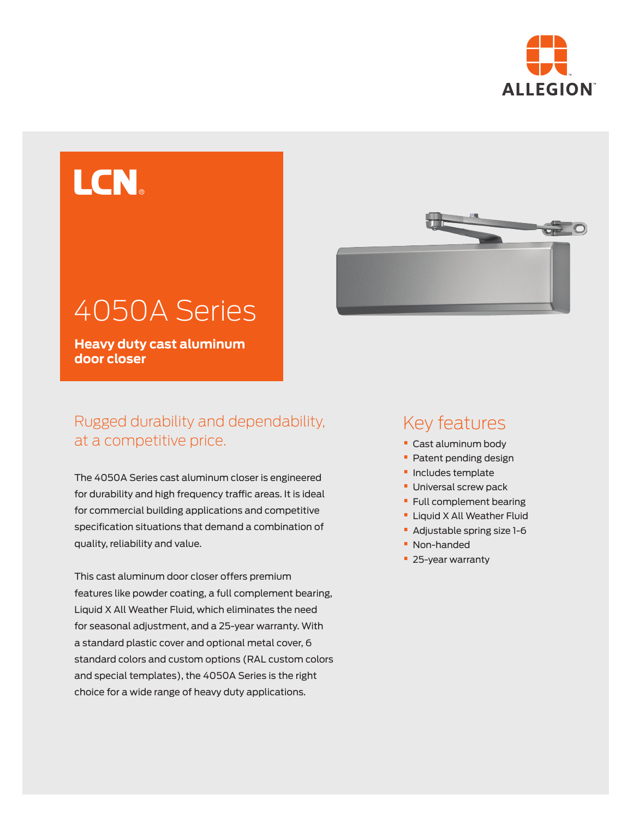

# LCN®

## 4050A Series

**Heavy duty cast aluminum door closer**

## Rugged durability and dependability, at a competitive price.

The 4050A Series cast aluminum closer is engineered for durability and high frequency traffic areas. It is ideal for commercial building applications and competitive specification situations that demand a combination of quality, reliability and value.

This cast aluminum door closer offers premium features like powder coating, a full complement bearing, Liquid X All Weather Fluid, which eliminates the need for seasonal adjustment, and a 25-year warranty. With a standard plastic cover and optional metal cover, 6 standard colors and custom options (RAL custom colors and special templates), the 4050A Series is the right choice for a wide range of heavy duty applications.



## Key features

- **•** Cast aluminum body
- **•** Patent pending design
- **•** Includes template
- **•** Universal screw pack
- **•** Full complement bearing
- **•** Liquid X All Weather Fluid
- **•** Adjustable spring size 1-6
- **•** Non-handed
- **•** 25-year warranty